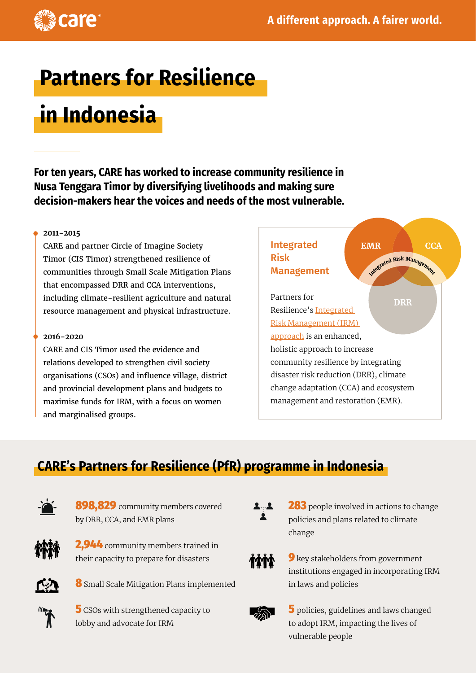

# **Partners for Resilience**

# **in Indonesia**

**For ten years, CARE has worked to increase community resilience in Nusa Tenggara Timor by diversifying livelihoods and making sure decision-makers hear the voices and needs of the most vulnerable.**

#### **2011-2015**

CARE and partner Circle of Imagine Society Timor (CIS Timor) strengthened resilience of communities through Small Scale Mitigation Plans that encompassed DRR and CCA interventions, including climate-resilient agriculture and natural resource management and physical infrastructure.

#### **2016-2020**

CARE and CIS Timor used the evidence and relations developed to strengthen civil society organisations (CSOs) and influence village, district and provincial development plans and budgets to maximise funds for IRM, with a focus on women and marginalised groups.



# **CARE's Partners for Resilience (PfR) programme in Indonesia**



898,829 community members covered by DRR, CCA, and EMR plans



2,944 community members trained in their capacity to prepare for disasters



8 Small Scale Mitigation Plans implemented



**5** CSOs with strengthened capacity to lobby and advocate for IRM



**283** people involved in actions to change policies and plans related to climate change



**9** key stakeholders from government institutions engaged in incorporating IRM in laws and policies



5 policies, guidelines and laws changed to adopt IRM, impacting the lives of vulnerable people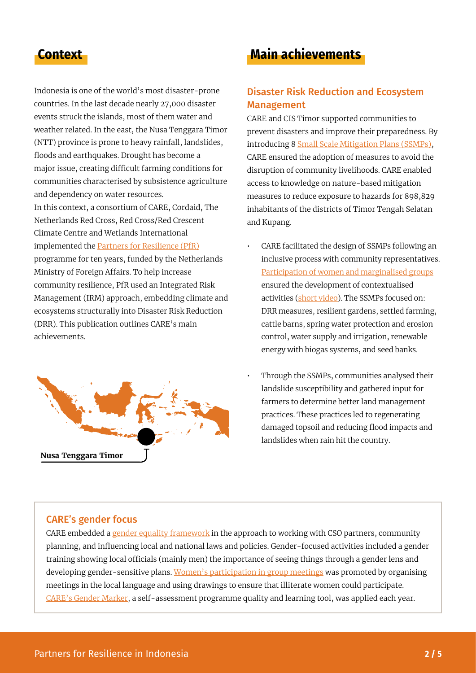Indonesia is one of the world's most disaster-prone countries. In the last decade nearly 27,000 disaster events struck the islands, most of them water and weather related. In the east, the Nusa Tenggara Timor (NTT) province is prone to heavy rainfall, landslides, floods and earthquakes. Drought has become a major issue, creating difficult farming conditions for communities characterised by subsistence agriculture and dependency on water resources. In this context, a consortium of CARE, Cordaid, The Netherlands Red Cross, Red Cross/Red Crescent

Climate Centre and Wetlands International implemented the [Partners for Resilience \(PfR\)](https://www.partnersforresilience.nl/en/) programme for ten years, funded by the Netherlands Ministry of Foreign Affairs. To help increase community resilience, PfR used an Integrated Risk Management (IRM) approach, embedding climate and ecosystems structurally into Disaster Risk Reduction (DRR). This publication outlines CARE's main achievements.



# **Context Main achievements**

### Disaster Risk Reduction and Ecosystem Management

CARE and CIS Timor supported communities to prevent disasters and improve their preparedness. By introducing 8 [Small Scale Mitigation Plans \(SSMPs\),](https://library.partnersforresilience.nl/?r=302) CARE ensured the adoption of measures to avoid the disruption of community livelihoods. CARE enabled access to knowledge on nature-based mitigation measures to reduce exposure to hazards for 898,829 inhabitants of the districts of Timor Tengah Selatan and Kupang.

- CARE facilitated the design of SSMPs following an inclusive process with community representatives. [Participation of women and marginalised groups](https://careclimatechange.org/regina-a-timorese-woman-with-a-voice/) ensured the development of contextualised activities [\(short video\)](https://www.youtube.com/watch?v=JgE4EaO3agg). The SSMPs focused on: DRR measures, resilient gardens, settled farming, cattle barns, spring water protection and erosion control, water supply and irrigation, renewable energy with biogas systems, and seed banks.
- Through the SSMPs, communities analysed their landslide susceptibility and gathered input for farmers to determine better land management practices. These practices led to regenerating damaged topsoil and reducing flood impacts and landslides when rain hit the country.

#### CARE's gender focus

CARE embedded a [gender equality framework](https://insights.careinternational.org.uk/images/in-practice/GEWV/GEWV_guidance-note_english_2019.pdf) in the approach to working with CSO partners, community planning, and influencing local and national laws and policies. Gender-focused activities included a gender training showing local officials (mainly men) the importance of seeing things through a gender lens and developing gender-sensitive plans. [Women's participation in group meetings](https://www.youtube.com/watch?v=J7oSaWumXyY) was promoted by organising meetings in the local language and using drawings to ensure that illiterate women could participate. [CARE's Gender Marker,](https://insights.careinternational.org.uk/in-practice/care-gender-marker) a self-assessment programme quality and learning tool, was applied each year.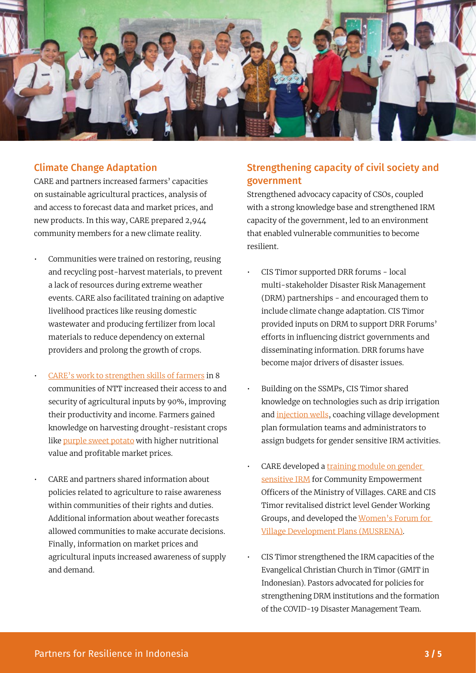

#### Climate Change Adaptation

CARE and partners increased farmers' capacities on sustainable agricultural practices, analysis of and access to forecast data and market prices, and new products. In this way, CARE prepared 2,944 community members for a new climate reality.

- Communities were trained on restoring, reusing and recycling post-harvest materials, to prevent a lack of resources during extreme weather events. CARE also facilitated training on adaptive livelihood practices like reusing domestic wastewater and producing fertilizer from local materials to reduce dependency on external providers and prolong the growth of crops.
- [CARE's work to strengthen skills of farmers](https://library.partnersforresilience.nl/?r=302) in 8 communities of NTT increased their access to and security of agricultural inputs by 90%, improving their productivity and income. Farmers gained knowledge on harvesting drought-resistant crops like [purple sweet potato](https://www.youtube.com/watch?v=ctxgxrFyuB4) with higher nutritional value and profitable market prices.
- CARE and partners shared information about policies related to agriculture to raise awareness within communities of their rights and duties. Additional information about weather forecasts allowed communities to make accurate decisions. Finally, information on market prices and agricultural inputs increased awareness of supply and demand.

#### Strengthening capacity of civil society and government

Strengthened advocacy capacity of CSOs, coupled with a strong knowledge base and strengthened IRM capacity of the government, led to an environment that enabled vulnerable communities to become resilient.

- CIS Timor supported DRR forums local multi-stakeholder Disaster Risk Management (DRM) partnerships - and encouraged them to include climate change adaptation. CIS Timor provided inputs on DRM to support DRR Forums' efforts in influencing district governments and disseminating information. DRR forums have become major drivers of disaster issues.
- Building on the SSMPs, CIS Timor shared knowledge on technologies such as drip irrigation and [injection wells](https://www.youtube.com/watch?v=3w7Vw0v00l8), coaching village development plan formulation teams and administrators to assign budgets for gender sensitive IRM activities.
- CARE developed a training module on gender [sensitive IRM](https://pfrindonesia.id/wp-content/uploads/2020/06/PELATIH-Buku-pegangan-pelatih-modul-PRT_rev-RSY-RIO-Print.pdf) for Community Empowerment Officers of the Ministry of Villages. CARE and CIS Timor revitalised district level Gender Working Groups, and developed the [Women's Forum for](https://library.partnersforresilience.nl/pages/preview.php?ref=436)  [Village Development Plans \(MUSRENA\)](https://library.partnersforresilience.nl/pages/preview.php?ref=436).
- CIS Timor strengthened the IRM capacities of the Evangelical Christian Church in Timor (GMIT in Indonesian). Pastors advocated for policies for strengthening DRM institutions and the formation of the COVID-19 Disaster Management Team.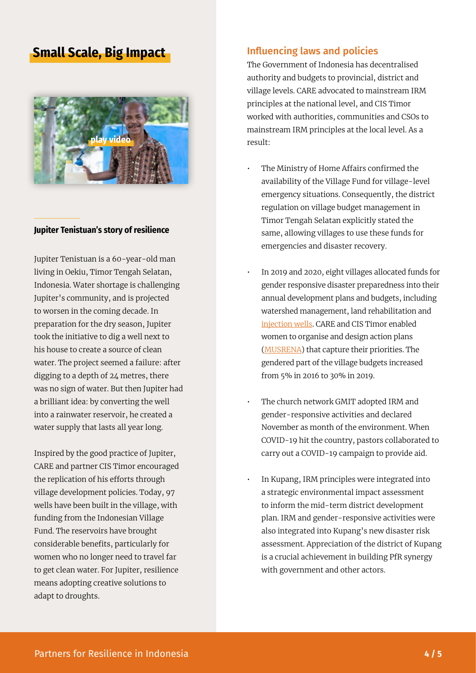## **Small Scale, Big Impact**



#### **Jupiter Tenistuan's story of resilience**

Jupiter Tenistuan is a 60-year-old man living in Oekiu, Timor Tengah Selatan, Indonesia. Water shortage is challenging Jupiter's community, and is projected to worsen in the coming decade. In preparation for the dry season, Jupiter took the initiative to dig a well next to his house to create a source of clean water. The project seemed a failure: after digging to a depth of 24 metres, there was no sign of water. But then Jupiter had a brilliant idea: by converting the well into a rainwater reservoir, he created a water supply that lasts all year long.

Inspired by the good practice of Jupiter, CARE and partner CIS Timor encouraged the replication of his efforts through village development policies. Today, 97 wells have been built in the village, with funding from the Indonesian Village Fund. The reservoirs have brought considerable benefits, particularly for women who no longer need to travel far to get clean water. For Jupiter, resilience means adopting creative solutions to adapt to droughts.

#### Influencing laws and policies

The Government of Indonesia has decentralised authority and budgets to provincial, district and village levels. CARE advocated to mainstream IRM principles at the national level, and CIS Timor worked with authorities, communities and CSOs to mainstream IRM principles at the local level. As a result:

- The Ministry of Home Affairs confirmed the availability of the Village Fund for village-level emergency situations. Consequently, the district regulation on village budget management in Timor Tengah Selatan explicitly stated the same, allowing villages to use these funds for emergencies and disaster recovery.
- In 2019 and 2020, eight villages allocated funds for gender responsive disaster preparedness into their annual development plans and budgets, including watershed management, land rehabilitation and [injection wells.](https://www.youtube.com/watch?v=Hc-oUvJMgkk) CARE and CIS Timor enabled women to organise and design action plans ([MUSRENA](https://library.partnersforresilience.nl/pages/preview.php?ref=436)) that capture their priorities. The gendered part of the village budgets increased from 5% in 2016 to 30% in 2019.
- The church network GMIT adopted IRM and gender-responsive activities and declared November as month of the environment. When COVID-19 hit the country, pastors collaborated to carry out a COVID-19 campaign to provide aid.
- In Kupang, IRM principles were integrated into a strategic environmental impact assessment to inform the mid-term district development plan. IRM and gender-responsive activities were also integrated into Kupang's new disaster risk assessment. Appreciation of the district of Kupang is a crucial achievement in building PfR synergy with government and other actors.